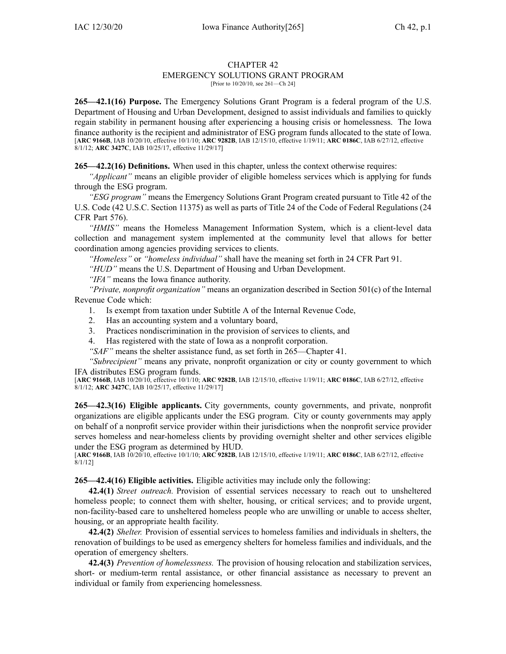## CHAPTER 42

## EMERGENCY SOLUTIONS GRANT PROGRAM

[Prior to 10/20/10, see 261—Ch 24]

**265—42.1(16) Purpose.** The Emergency Solutions Grant Program is <sup>a</sup> federal program of the U.S. Department of Housing and Urban Development, designed to assist individuals and families to quickly regain stability in permanen<sup>t</sup> housing after experiencing <sup>a</sup> housing crisis or homelessness. The Iowa finance authority is the recipient and administrator of ESG program funds allocated to the state of Iowa. [**ARC [9166B](https://www.legis.iowa.gov/docs/aco/arc/9166B.pdf)**, IAB 10/20/10, effective 10/1/10; **ARC [9282B](https://www.legis.iowa.gov/docs/aco/arc/9282B.pdf)**, IAB 12/15/10, effective 1/19/11; **ARC [0186C](https://www.legis.iowa.gov/docs/aco/arc/0186C.pdf)**, IAB 6/27/12, effective 8/1/12; **ARC [3427C](https://www.legis.iowa.gov/docs/aco/arc/3427C.pdf)**, IAB 10/25/17, effective 11/29/17]

**265—42.2(16) Definitions.** When used in this chapter, unless the context otherwise requires:

*"Applicant"* means an eligible provider of eligible homeless services which is applying for funds through the ESG program.

*"ESG program"* means the Emergency Solutions Grant Program created pursuan<sup>t</sup> to Title 42 of the U.S. Code (42 U.S.C. Section 11375) as well as parts of Title 24 of the Code of Federal Regulations (24 CFR Part 576).

*"HMIS"* means the Homeless Management Information System, which is <sup>a</sup> client-level data collection and managemen<sup>t</sup> system implemented at the community level that allows for better coordination among agencies providing services to clients.

*"Homeless"* or *"homeless individual"* shall have the meaning set forth in 24 CFR Part 91.

*"HUD"* means the U.S. Department of Housing and Urban Development.

*"IFA"* means the Iowa finance authority.

*"Private, nonprofit organization"* means an organization described in Section 501(c) of the Internal Revenue Code which:

- 1. Is exemp<sup>t</sup> from taxation under Subtitle A of the Internal Revenue Code,
- 2. Has an accounting system and <sup>a</sup> voluntary board,
- 3. Practices nondiscrimination in the provision of services to clients, and
- 4. Has registered with the state of Iowa as <sup>a</sup> nonprofit corporation.

*"SAF"* means the shelter assistance fund, as set forth in [265—Chapter](https://www.legis.iowa.gov/docs/iac/chapter/265.41.pdf) 41.

*"Subrecipient"* means any private, nonprofit organization or city or county governmen<sup>t</sup> to which IFA distributes ESG program funds.

[**ARC [9166B](https://www.legis.iowa.gov/docs/aco/arc/9166B.pdf)**, IAB 10/20/10, effective 10/1/10; **ARC [9282B](https://www.legis.iowa.gov/docs/aco/arc/9282B.pdf)**, IAB 12/15/10, effective 1/19/11; **ARC [0186C](https://www.legis.iowa.gov/docs/aco/arc/0186C.pdf)**, IAB 6/27/12, effective 8/1/12; **ARC [3427C](https://www.legis.iowa.gov/docs/aco/arc/3427C.pdf)**, IAB 10/25/17, effective 11/29/17]

**265—42.3(16) Eligible applicants.** City governments, county governments, and private, nonprofit organizations are eligible applicants under the ESG program. City or county governments may apply on behalf of <sup>a</sup> nonprofit service provider within their jurisdictions when the nonprofit service provider serves homeless and near-homeless clients by providing overnight shelter and other services eligible under the ESG program as determined by HUD.

[**ARC [9166B](https://www.legis.iowa.gov/docs/aco/arc/9166B.pdf)**, IAB 10/20/10, effective 10/1/10; **ARC [9282B](https://www.legis.iowa.gov/docs/aco/arc/9282B.pdf)**, IAB 12/15/10, effective 1/19/11; **ARC [0186C](https://www.legis.iowa.gov/docs/aco/arc/0186C.pdf)**, IAB 6/27/12, effective 8/1/12]

**265—42.4(16) Eligible activities.** Eligible activities may include only the following:

**42.4(1)** *Street outreach.* Provision of essential services necessary to reach out to unsheltered homeless people; to connect them with shelter, housing, or critical services; and to provide urgent, non-facility-based care to unsheltered homeless people who are unwilling or unable to access shelter, housing, or an appropriate health facility.

**42.4(2)** *Shelter.* Provision of essential services to homeless families and individuals in shelters, the renovation of buildings to be used as emergency shelters for homeless families and individuals, and the operation of emergency shelters.

**42.4(3)** *Prevention of homelessness.* The provision of housing relocation and stabilization services, short- or medium-term rental assistance, or other financial assistance as necessary to preven<sup>t</sup> an individual or family from experiencing homelessness.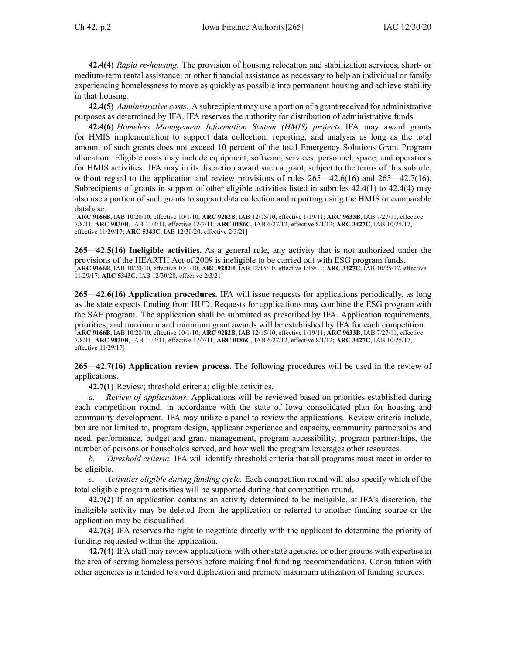**42.4(4)** *Rapid re-housing.* The provision of housing relocation and stabilization services, short- or medium-term rental assistance, or other financial assistance as necessary to help an individual or family experiencing homelessness to move as quickly as possible into permanen<sup>t</sup> housing and achieve stability in that housing.

**42.4(5)** *Administrative costs.* A subrecipient may use <sup>a</sup> portion of <sup>a</sup> gran<sup>t</sup> received for administrative purposes as determined by IFA. IFA reserves the authority for distribution of administrative funds.

**42.4(6)** *Homeless Management Information System (HMIS) projects.* IFA may award grants for HMIS implementation to suppor<sup>t</sup> data collection, reporting, and analysis as long as the total amount of such grants does not exceed 10 percen<sup>t</sup> of the total Emergency Solutions Grant Program allocation. Eligible costs may include equipment, software, services, personnel, space, and operations for HMIS activities. IFA may in its discretion award such <sup>a</sup> grant, subject to the terms of this subrule, without regard to the application and review provisions of rules  $265-42.6(16)$  and  $265-42.7(16)$ . Subrecipients of grants in suppor<sup>t</sup> of other eligible activities listed in subrules [42.4\(1\)](https://www.legis.iowa.gov/docs/iac/rule/265.42.4.pdf) to [42.4\(4\)](https://www.legis.iowa.gov/docs/iac/rule/265.42.4.pdf) may also use <sup>a</sup> portion of such grants to suppor<sup>t</sup> data collection and reporting using the HMIS or comparable database.

[**ARC [9166B](https://www.legis.iowa.gov/docs/aco/arc/9166B.pdf)**, IAB 10/20/10, effective 10/1/10; **ARC [9282B](https://www.legis.iowa.gov/docs/aco/arc/9282B.pdf)**, IAB 12/15/10, effective 1/19/11; **ARC [9633B](https://www.legis.iowa.gov/docs/aco/arc/9633B.pdf)**, IAB 7/27/11, effective 7/8/11; **ARC [9830B](https://www.legis.iowa.gov/docs/aco/arc/9830B.pdf)**, IAB 11/2/11, effective 12/7/11; **ARC [0186C](https://www.legis.iowa.gov/docs/aco/arc/0186C.pdf)**, IAB 6/27/12, effective 8/1/12; **ARC [3427C](https://www.legis.iowa.gov/docs/aco/arc/3427C.pdf)**, IAB 10/25/17, effective 11/29/17; **ARC [5343C](https://www.legis.iowa.gov/docs/aco/arc/5343C.pdf)**, IAB 12/30/20, effective 2/3/21]

**265—42.5(16) Ineligible activities.** As <sup>a</sup> general rule, any activity that is not authorized under the provisions of the HEARTH Act of 2009 is ineligible to be carried out with ESG program funds. [**ARC [9166B](https://www.legis.iowa.gov/docs/aco/arc/9166B.pdf)**, IAB 10/20/10, effective 10/1/10; **ARC [9282B](https://www.legis.iowa.gov/docs/aco/arc/9282B.pdf)**, IAB 12/15/10, effective 1/19/11; **ARC [3427C](https://www.legis.iowa.gov/docs/aco/arc/3427C.pdf)**, IAB 10/25/17, effective 11/29/17; **ARC [5343C](https://www.legis.iowa.gov/docs/aco/arc/5343C.pdf)**, IAB 12/30/20, effective 2/3/21]

**265—42.6(16) Application procedures.** IFA will issue requests for applications periodically, as long as the state expects funding from HUD. Requests for applications may combine the ESG program with the SAF program. The application shall be submitted as prescribed by IFA. Application requirements, priorities, and maximum and minimum gran<sup>t</sup> awards will be established by IFA for each competition. [**ARC [9166B](https://www.legis.iowa.gov/docs/aco/arc/9166B.pdf)**, IAB 10/20/10, effective 10/1/10; **ARC [9282B](https://www.legis.iowa.gov/docs/aco/arc/9282B.pdf)**, IAB 12/15/10, effective 1/19/11; **ARC [9633B](https://www.legis.iowa.gov/docs/aco/arc/9633B.pdf)**, IAB 7/27/11, effective 7/8/11; **ARC [9830B](https://www.legis.iowa.gov/docs/aco/arc/9830B.pdf)**, IAB 11/2/11, effective 12/7/11; **ARC [0186C](https://www.legis.iowa.gov/docs/aco/arc/0186C.pdf)**, IAB 6/27/12, effective 8/1/12; **ARC [3427C](https://www.legis.iowa.gov/docs/aco/arc/3427C.pdf)**, IAB 10/25/17, effective 11/29/17]

**265—42.7(16) Application review process.** The following procedures will be used in the review of applications.

**42.7(1)** Review; threshold criteria; eligible activities.

*a. Review of applications.* Applications will be reviewed based on priorities established during each competition round, in accordance with the state of Iowa consolidated plan for housing and community development. IFA may utilize <sup>a</sup> panel to review the applications. Review criteria include, but are not limited to, program design, applicant experience and capacity, community partnerships and need, performance, budget and gran<sup>t</sup> management, program accessibility, program partnerships, the number of persons or households served, and how well the program leverages other resources.

*b. Threshold criteria.* IFA will identify threshold criteria that all programs must meet in order to be eligible.

*c. Activities eligible during funding cycle.* Each competition round will also specify which of the total eligible program activities will be supported during that competition round.

**42.7(2)** If an application contains an activity determined to be ineligible, at IFA's discretion, the ineligible activity may be deleted from the application or referred to another funding source or the application may be disqualified.

**42.7(3)** IFA reserves the right to negotiate directly with the applicant to determine the priority of funding requested within the application.

**42.7(4)** IFA staff may review applications with other state agencies or other groups with expertise in the area of serving homeless persons before making final funding recommendations. Consultation with other agencies is intended to avoid duplication and promote maximum utilization of funding sources.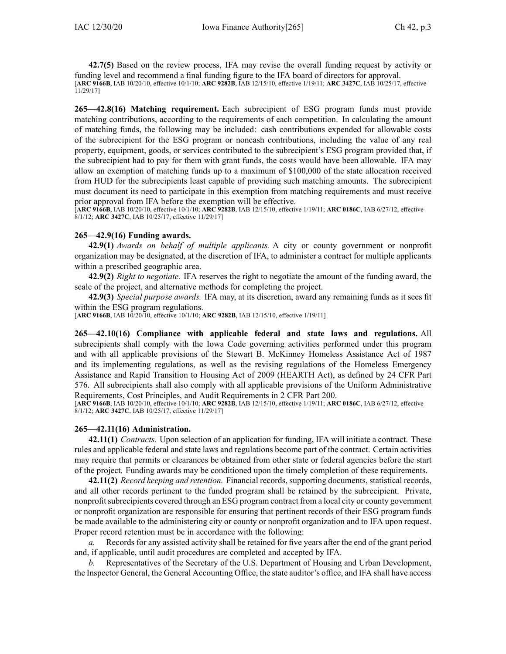**42.7(5)** Based on the review process, IFA may revise the overall funding reques<sup>t</sup> by activity or funding level and recommend <sup>a</sup> final funding figure to the IFA board of directors for approval. [**ARC [9166B](https://www.legis.iowa.gov/docs/aco/arc/9166B.pdf)**, IAB 10/20/10, effective 10/1/10; **ARC [9282B](https://www.legis.iowa.gov/docs/aco/arc/9282B.pdf)**, IAB 12/15/10, effective 1/19/11; **ARC [3427C](https://www.legis.iowa.gov/docs/aco/arc/3427C.pdf)**, IAB 10/25/17, effective 11/29/17]

**265—42.8(16) Matching requirement.** Each subrecipient of ESG program funds must provide matching contributions, according to the requirements of each competition. In calculating the amount of matching funds, the following may be included: cash contributions expended for allowable costs of the subrecipient for the ESG program or noncash contributions, including the value of any real property, equipment, goods, or services contributed to the subrecipient's ESG program provided that, if the subrecipient had to pay for them with gran<sup>t</sup> funds, the costs would have been allowable. IFA may allow an exemption of matching funds up to <sup>a</sup> maximum of \$100,000 of the state allocation received from HUD for the subrecipients least capable of providing such matching amounts. The subrecipient must document its need to participate in this exemption from matching requirements and must receive prior approval from IFA before the exemption will be effective.

[**ARC [9166B](https://www.legis.iowa.gov/docs/aco/arc/9166B.pdf)**, IAB 10/20/10, effective 10/1/10; **ARC [9282B](https://www.legis.iowa.gov/docs/aco/arc/9282B.pdf)**, IAB 12/15/10, effective 1/19/11; **ARC [0186C](https://www.legis.iowa.gov/docs/aco/arc/0186C.pdf)**, IAB 6/27/12, effective 8/1/12; **ARC [3427C](https://www.legis.iowa.gov/docs/aco/arc/3427C.pdf)**, IAB 10/25/17, effective 11/29/17]

## **265—42.9(16) Funding awards.**

**42.9(1)** *Awards on behalf of multiple applicants.* A city or county governmen<sup>t</sup> or nonprofit organization may be designated, at the discretion of IFA, to administer <sup>a</sup> contract for multiple applicants within <sup>a</sup> prescribed geographic area.

**42.9(2)** *Right to negotiate.* IFA reserves the right to negotiate the amount of the funding award, the scale of the project, and alternative methods for completing the project.

**42.9(3)** *Special purpose awards.* IFA may, at its discretion, award any remaining funds as it sees fit within the ESG program regulations.

[**ARC [9166B](https://www.legis.iowa.gov/docs/aco/arc/9166B.pdf)**, IAB 10/20/10, effective 10/1/10; **ARC [9282B](https://www.legis.iowa.gov/docs/aco/arc/9282B.pdf)**, IAB 12/15/10, effective 1/19/11]

**265—42.10(16) Compliance with applicable federal and state laws and regulations.** All subrecipients shall comply with the Iowa Code governing activities performed under this program and with all applicable provisions of the Stewart B. McKinney Homeless Assistance Act of 1987 and its implementing regulations, as well as the revising regulations of the Homeless Emergency Assistance and Rapid Transition to Housing Act of 2009 (HEARTH Act), as defined by 24 CFR Part 576. All subrecipients shall also comply with all applicable provisions of the Uniform Administrative Requirements, Cost Principles, and Audit Requirements in 2 CFR Part 200.

[**ARC [9166B](https://www.legis.iowa.gov/docs/aco/arc/9166B.pdf)**, IAB 10/20/10, effective 10/1/10; **ARC [9282B](https://www.legis.iowa.gov/docs/aco/arc/9282B.pdf)**, IAB 12/15/10, effective 1/19/11; **ARC [0186C](https://www.legis.iowa.gov/docs/aco/arc/0186C.pdf)**, IAB 6/27/12, effective 8/1/12; **ARC [3427C](https://www.legis.iowa.gov/docs/aco/arc/3427C.pdf)**, IAB 10/25/17, effective 11/29/17]

## **265—42.11(16) Administration.**

**42.11(1)** *Contracts.* Upon selection of an application for funding, IFA will initiate <sup>a</sup> contract. These rules and applicable federal and state laws and regulations become par<sup>t</sup> of the contract. Certain activities may require that permits or clearances be obtained from other state or federal agencies before the start of the project. Funding awards may be conditioned upon the timely completion of these requirements.

**42.11(2)** *Record keeping and retention.* Financial records, supporting documents, statistical records, and all other records pertinent to the funded program shall be retained by the subrecipient. Private, nonprofitsubrecipients covered through an ESG program contract from <sup>a</sup> local city or county governmen<sup>t</sup> or nonprofit organization are responsible for ensuring that pertinent records of their ESG program funds be made available to the administering city or county or nonprofit organization and to IFA upon request. Proper record retention must be in accordance with the following:

*a.* Records for any assisted activity shall be retained for five years after the end of the gran<sup>t</sup> period and, if applicable, until audit procedures are completed and accepted by IFA.

*b.* Representatives of the Secretary of the U.S. Department of Housing and Urban Development, the Inspector General, the General Accounting Office, the state auditor's office, and IFA shall have access